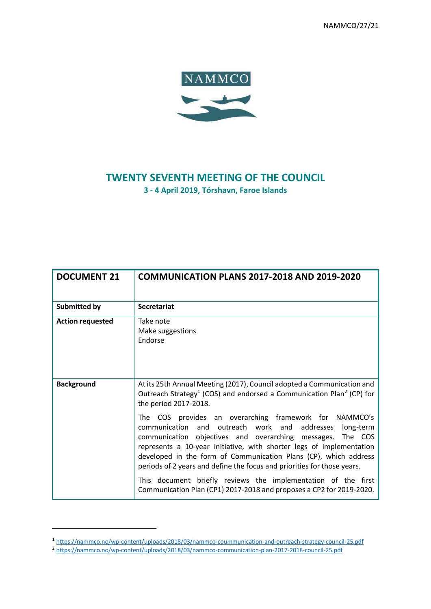NAMMCO/27/21



# **TWENTY SEVENTH MEETING OF THE COUNCIL**

**3 - 4 April 2019, Tórshavn, Faroe Islands**

| <b>DOCUMENT 21</b>      | <b>COMMUNICATION PLANS 2017-2018 AND 2019-2020</b>                                                                                                                                                                                                                                                                                                                                                                                                                                                                                              |
|-------------------------|-------------------------------------------------------------------------------------------------------------------------------------------------------------------------------------------------------------------------------------------------------------------------------------------------------------------------------------------------------------------------------------------------------------------------------------------------------------------------------------------------------------------------------------------------|
| <b>Submitted by</b>     | <b>Secretariat</b>                                                                                                                                                                                                                                                                                                                                                                                                                                                                                                                              |
| <b>Action requested</b> | Take note<br>Make suggestions<br>Endorse                                                                                                                                                                                                                                                                                                                                                                                                                                                                                                        |
| <b>Background</b>       | At its 25th Annual Meeting (2017), Council adopted a Communication and<br>Outreach Strategy <sup>1</sup> (COS) and endorsed a Communication Plan <sup>2</sup> (CP) for<br>the period 2017-2018.                                                                                                                                                                                                                                                                                                                                                 |
|                         | The COS provides an overarching framework for NAMMCO's<br>communication and outreach work and addresses long-term<br>communication objectives and overarching messages. The COS<br>represents a 10-year initiative, with shorter legs of implementation<br>developed in the form of Communication Plans (CP), which address<br>periods of 2 years and define the focus and priorities for those years.<br>This document briefly reviews the implementation of the first<br>Communication Plan (CP1) 2017-2018 and proposes a CP2 for 2019-2020. |

1

<sup>&</sup>lt;sup>1</sup> <https://nammco.no/wp-content/uploads/2018/03/nammco-coummunication-and-outreach-strategy-council-25.pdf><br><sup>2</sup> <https://nammco.no/wp-content/uploads/2018/03/nammco-communication-plan-2017-2018-council-25.pdf>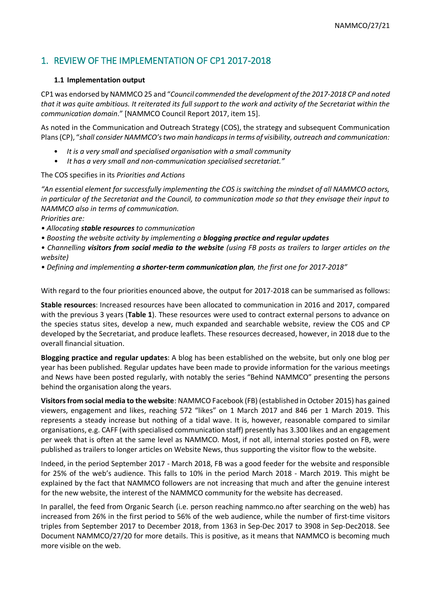# 1. REVIEW OF THE IMPLEMENTATION OF CP1 2017-2018

#### **1.1 Implementation output**

CP1 was endorsed by NAMMCO 25 and "*Council commended the development of the 2017-2018 CP and noted that it was quite ambitious. It reiterated its full support to the work and activity of the Secretariat within the communication domain*." [NAMMCO Council Report 2017, item 15].

As noted in the Communication and Outreach Strategy (COS), the strategy and subsequent Communication Plans (CP), "*shall consider NAMMCO's two main handicaps in terms of visibility, outreach and communication:*

- *It is a very small and specialised organisation with a small community*
- *It has a very small and non-communication specialised secretariat."*

The COS specifies in its *Priorities and Actions*

*"An essential element for successfully implementing the COS is switching the mindset of all NAMMCO actors, in particular of the Secretariat and the Council, to communication mode so that they envisage their input to NAMMCO also in terms of communication.*

*Priorities are:*

- *Allocating stable resources to communication*
- *Boosting the website activity by implementing a blogging practice and regular updates*

*• Channelling visitors from social media to the website (using FB posts as trailers to larger articles on the website)*

*• Defining and implementing a shorter-term communication plan, the first one for 2017-2018"*

With regard to the four priorities enounced above, the output for 2017-2018 can be summarised as follows:

**Stable resources**: Increased resources have been allocated to communication in 2016 and 2017, compared with the previous 3 years (**Table 1**). These resources were used to contract external persons to advance on the species status sites, develop a new, much expanded and searchable website, review the COS and CP developed by the Secretariat, and produce leaflets. These resources decreased, however, in 2018 due to the overall financial situation.

**Blogging practice and regular updates**: A blog has been established on the website, but only one blog per year has been published. Regular updates have been made to provide information for the various meetings and News have been posted regularly, with notably the series "Behind NAMMCO" presenting the persons behind the organisation along the years.

**Visitors from social media to the website**: NAMMCO Facebook (FB) (established in October 2015) has gained viewers, engagement and likes, reaching 572 "likes" on 1 March 2017 and 846 per 1 March 2019. This represents a steady increase but nothing of a tidal wave. It is, however, reasonable compared to similar organisations, e.g. CAFF (with specialised communication staff) presently has 3.300 likes and an engagement per week that is often at the same level as NAMMCO. Most, if not all, internal stories posted on FB, were published as trailers to longer articles on Website News, thus supporting the visitor flow to the website.

Indeed, in the period September 2017 - March 2018, FB was a good feeder for the website and responsible for 25% of the web's audience. This falls to 10% in the period March 2018 - March 2019. This might be explained by the fact that NAMMCO followers are not increasing that much and after the genuine interest for the new website, the interest of the NAMMCO community for the website has decreased.

In parallel, the feed from Organic Search (i.e. person reaching nammco.no after searching on the web) has increased from 26% in the first period to 56% of the web audience, while the number of first-time visitors triples from September 2017 to December 2018, from 1363 in Sep-Dec 2017 to 3908 in Sep-Dec2018. See Document NAMMCO/27/20 for more details. This is positive, as it means that NAMMCO is becoming much more visible on the web.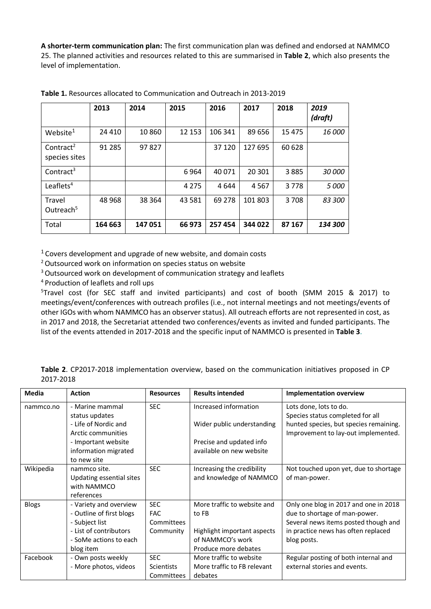**A shorter-term communication plan:** The first communication plan was defined and endorsed at NAMMCO 25. The planned activities and resources related to this are summarised in **Table 2**, which also presents the level of implementation.

|                                        | 2013    | 2014    | 2015    | 2016    | 2017    | 2018     | 2019<br>(draft) |
|----------------------------------------|---------|---------|---------|---------|---------|----------|-----------------|
| Website <sup>1</sup>                   | 24 4 10 | 10860   | 12 153  | 106 341 | 89 656  | 15 4 7 5 | 16 000          |
| Contract <sup>2</sup><br>species sites | 91 2 85 | 97827   |         | 37 1 20 | 127 695 | 60 628   |                 |
| Contract <sup>3</sup>                  |         |         | 6964    | 40 071  | 20 301  | 3885     | 30 000          |
| Leaflets <sup>4</sup>                  |         |         | 4 2 7 5 | 4 644   | 4567    | 3778     | 5 000           |
| Travel<br>Outreach <sup>5</sup>        | 48 9 68 | 38 3 64 | 43 5 81 | 69 278  | 101 803 | 3708     | 83 300          |
| Total                                  | 164 663 | 147051  | 66 973  | 257454  | 344 022 | 87 167   | 134 300         |

**Table 1.** Resources allocated to Communication and Outreach in 2013-2019

 $1$  Covers development and upgrade of new website, and domain costs

<sup>2</sup> Outsourced work on information on species status on website

<sup>3</sup> Outsourced work on development of communication strategy and leaflets

<sup>4</sup> Production of leaflets and roll ups

5 Travel cost (for SEC staff and invited participants) and cost of booth (SMM 2015 & 2017) to meetings/event/conferences with outreach profiles (i.e., not internal meetings and not meetings/events of other IGOs with whom NAMMCO has an observer status). All outreach efforts are not represented in cost, as in 2017 and 2018, the Secretariat attended two conferences/events as invited and funded participants. The list of the events attended in 2017-2018 and the specific input of NAMMCO is presented in **Table 3**.

**Table 2**. CP2017-2018 implementation overview, based on the communication initiatives proposed in CP 2017-2018

| Media        | <b>Action</b>                          | <b>Resources</b> | <b>Results intended</b>     | <b>Implementation overview</b>                                                |
|--------------|----------------------------------------|------------------|-----------------------------|-------------------------------------------------------------------------------|
| nammco.no    | - Marine mammal                        | <b>SEC</b>       | Increased information       | Lots done, lots to do.                                                        |
|              | status updates<br>- Life of Nordic and |                  |                             | Species status completed for all                                              |
|              | Arctic communities                     |                  | Wider public understanding  | hunted species, but species remaining.<br>Improvement to lay-out implemented. |
|              | - Important website                    |                  | Precise and updated info    |                                                                               |
|              | information migrated                   |                  | available on new website    |                                                                               |
|              | to new site                            |                  |                             |                                                                               |
| Wikipedia    | nammco site.                           | <b>SEC</b>       | Increasing the credibility  | Not touched upon yet, due to shortage                                         |
|              | Updating essential sites               |                  | and knowledge of NAMMCO     | of man-power.                                                                 |
|              | with NAMMCO<br>references              |                  |                             |                                                                               |
| <b>Blogs</b> | - Variety and overview                 | <b>SEC</b>       | More traffic to website and | Only one blog in 2017 and one in 2018                                         |
|              | - Outline of first blogs               | <b>FAC</b>       | to FB                       | due to shortage of man-power.                                                 |
|              | - Subject list                         | Committees       |                             | Several news items posted though and                                          |
|              | - List of contributors                 | Community        | Highlight important aspects | in practice news has often replaced                                           |
|              | - SoMe actions to each                 |                  | of NAMMCO's work            | blog posts.                                                                   |
|              | blog item                              |                  | Produce more debates        |                                                                               |
| Facebook     | - Own posts weekly                     | <b>SEC</b>       | More traffic to website     | Regular posting of both internal and                                          |
|              | - More photos, videos                  | Scientists       | More traffic to FB relevant | external stories and events.                                                  |
|              |                                        | Committees       | debates                     |                                                                               |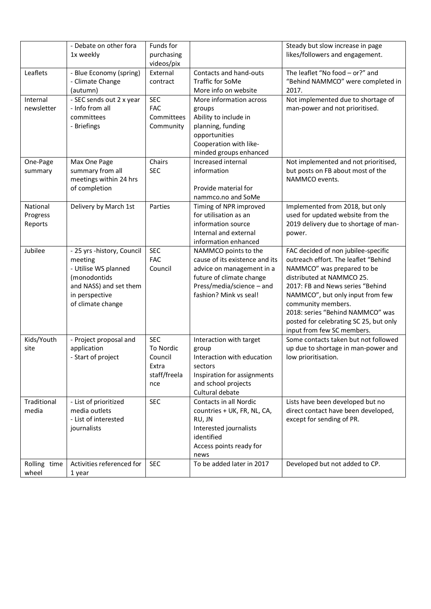|                                 | - Debate on other fora<br>1x weekly                                                                                                            | Funds for<br>purchasing                                            |                                                                                                                                                                        | Steady but slow increase in page<br>likes/followers and engagement.                                                                                                                                                                                                                                                                              |
|---------------------------------|------------------------------------------------------------------------------------------------------------------------------------------------|--------------------------------------------------------------------|------------------------------------------------------------------------------------------------------------------------------------------------------------------------|--------------------------------------------------------------------------------------------------------------------------------------------------------------------------------------------------------------------------------------------------------------------------------------------------------------------------------------------------|
| Leaflets                        | - Blue Economy (spring)<br>- Climate Change<br>(autumn)                                                                                        | videos/pix<br>External<br>contract                                 | Contacts and hand-outs<br><b>Traffic for SoMe</b><br>More info on website                                                                                              | The leaflet "No food - or?" and<br>"Behind NAMMCO" were completed in<br>2017.                                                                                                                                                                                                                                                                    |
| Internal<br>newsletter          | - SEC sends out 2 x year<br>- Info from all<br>committees<br>- Briefings                                                                       | <b>SEC</b><br><b>FAC</b><br>Committees<br>Community                | More information across<br>groups<br>Ability to include in<br>planning, funding<br>opportunities<br>Cooperation with like-<br>minded groups enhanced                   | Not implemented due to shortage of<br>man-power and not prioritised.                                                                                                                                                                                                                                                                             |
| One-Page<br>summary             | Max One Page<br>summary from all<br>meetings within 24 hrs<br>of completion                                                                    | Chairs<br><b>SEC</b>                                               | Increased internal<br>information<br>Provide material for<br>nammco.no and SoMe                                                                                        | Not implemented and not prioritised,<br>but posts on FB about most of the<br>NAMMCO events.                                                                                                                                                                                                                                                      |
| National<br>Progress<br>Reports | Delivery by March 1st                                                                                                                          | Parties                                                            | Timing of NPR improved<br>for utilisation as an<br>information source<br>Internal and external<br>information enhanced                                                 | Implemented from 2018, but only<br>used for updated website from the<br>2019 delivery due to shortage of man-<br>power.                                                                                                                                                                                                                          |
| Jubilee                         | - 25 yrs -history, Council<br>meeting<br>- Utilise WS planned<br>(monodontids<br>and NASS) and set them<br>in perspective<br>of climate change | <b>SEC</b><br><b>FAC</b><br>Council                                | NAMMCO points to the<br>cause of its existence and its<br>advice on management in a<br>future of climate change<br>Press/media/science - and<br>fashion? Mink vs seal! | FAC decided of non jubilee-specific<br>outreach effort. The leaflet "Behind<br>NAMMCO" was prepared to be<br>distributed at NAMMCO 25.<br>2017: FB and News series "Behind<br>NAMMCO", but only input from few<br>community members.<br>2018: series "Behind NAMMCO" was<br>posted for celebrating SC 25, but only<br>input from few SC members. |
| Kids/Youth<br>site              | - Project proposal and<br>application<br>- Start of project                                                                                    | <b>SEC</b><br>To Nordic<br>Council<br>Extra<br>staff/freela<br>nce | Interaction with target<br>group<br>Interaction with education<br>sectors<br>Inspiration for assignments<br>and school projects<br>Cultural debate                     | Some contacts taken but not followed<br>up due to shortage in man-power and<br>low prioritisation.                                                                                                                                                                                                                                               |
| Traditional<br>media            | - List of prioritized<br>media outlets<br>- List of interested<br>journalists                                                                  | <b>SEC</b>                                                         | Contacts in all Nordic<br>countries + UK, FR, NL, CA,<br>RU, JN<br>Interested journalists<br>identified<br>Access points ready for<br>news                             | Lists have been developed but no<br>direct contact have been developed,<br>except for sending of PR.                                                                                                                                                                                                                                             |
| Rolling time<br>wheel           | Activities referenced for<br>1 year                                                                                                            | <b>SEC</b>                                                         | To be added later in 2017                                                                                                                                              | Developed but not added to CP.                                                                                                                                                                                                                                                                                                                   |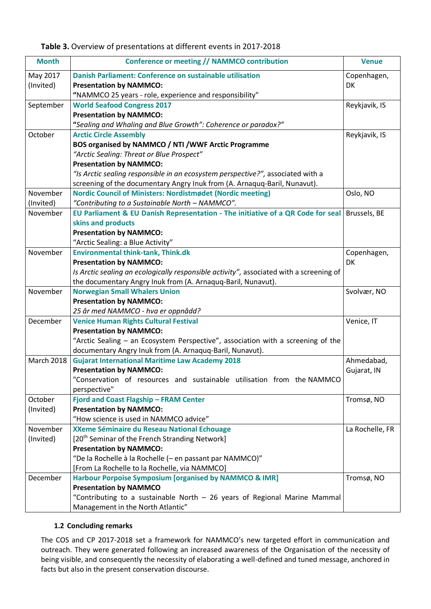|  |  | Table 3. Overview of presentations at different events in 2017-2018 |  |  |
|--|--|---------------------------------------------------------------------|--|--|
|--|--|---------------------------------------------------------------------|--|--|

| <b>Month</b>      | Conference or meeting // NAMMCO contribution                                            | <b>Venue</b>    |
|-------------------|-----------------------------------------------------------------------------------------|-----------------|
| May 2017          | <b>Danish Parliament: Conference on sustainable utilisation</b>                         | Copenhagen,     |
| (Invited)         | <b>Presentation by NAMMCO:</b>                                                          | DK              |
|                   | "NAMMCO 25 years - role, experience and responsibility"                                 |                 |
| September         | <b>World Seafood Congress 2017</b>                                                      | Reykjavik, IS   |
|                   | <b>Presentation by NAMMCO:</b>                                                          |                 |
|                   | "Sealing and Whaling and Blue Growth": Coherence or paradox?"                           |                 |
| October           | <b>Arctic Circle Assembly</b>                                                           | Reykjavik, IS   |
|                   | BOS organised by NAMMCO / NTI / WWF Arctic Programme                                    |                 |
|                   | "Arctic Sealing: Threat or Blue Prospect"                                               |                 |
|                   | <b>Presentation by NAMMCO:</b>                                                          |                 |
|                   | "Is Arctic sealing responsible in an ecosystem perspective?", associated with a         |                 |
|                   | screening of the documentary Angry Inuk from (A. Arnaquq-Baril, Nunavut).               |                 |
| November          | Nordic Council of Ministers: Nordistmødet (Nordic meeting)                              | Oslo, NO        |
| (Invited)         | "Contributing to a Sustainable North - NAMMCO".                                         |                 |
| November          | EU Parliament & EU Danish Representation - The initiative of a QR Code for seal         | Brussels, BE    |
|                   | skins and products                                                                      |                 |
|                   | <b>Presentation by NAMMCO:</b>                                                          |                 |
|                   | "Arctic Sealing: a Blue Activity"                                                       |                 |
| November          | <b>Environmental think-tank, Think.dk</b>                                               | Copenhagen,     |
|                   | <b>Presentation by NAMMCO:</b>                                                          | DK              |
|                   | Is Arctic sealing an ecologically responsible activity", associated with a screening of |                 |
|                   | the documentary Angry Inuk from (A. Arnaquq-Baril, Nunavut).                            |                 |
| November          | <b>Norwegian Small Whalers Union</b>                                                    | Svolvær, NO     |
|                   | <b>Presentation by NAMMCO:</b>                                                          |                 |
|                   | 25 år med NAMMCO - hva er oppnådd?                                                      |                 |
| December          | <b>Venice Human Rights Cultural Festival</b>                                            | Venice, IT      |
|                   | <b>Presentation by NAMMCO:</b>                                                          |                 |
|                   | "Arctic Sealing - an Ecosystem Perspective", association with a screening of the        |                 |
|                   | documentary Angry Inuk from (A. Arnaquq-Baril, Nunavut).                                |                 |
| <b>March 2018</b> | <b>Gujarat International Maritime Law Academy 2018</b>                                  | Ahmedabad,      |
|                   | <b>Presentation by NAMMCO:</b>                                                          | Gujarat, IN     |
|                   | 'Conservation of resources and sustainable utilisation from the NAMMCO                  |                 |
|                   | perspective"                                                                            |                 |
| October           | Fjord and Coast Flagship - FRAM Center                                                  | Tromsø, NO      |
| (Invited)         | <b>Presentation by NAMMCO:</b>                                                          |                 |
|                   | "How science is used in NAMMCO advice"                                                  |                 |
| November          | XXeme Séminaire du Reseau National Echouage                                             | La Rochelle, FR |
| (Invited)         | [20 <sup>th</sup> Seminar of the French Stranding Network]                              |                 |
|                   | <b>Presentation by NAMMCO:</b>                                                          |                 |
|                   | "De la Rochelle à la Rochelle (- en passant par NAMMCO)"                                |                 |
|                   | [From La Rochelle to la Rochelle, via NAMMCO]                                           |                 |
| December          | <b>Harbour Porpoise Symposium [organised by NAMMCO &amp; IMR]</b>                       | Tromsø, NO      |
|                   | <b>Presentation by NAMMCO</b>                                                           |                 |
|                   | "Contributing to a sustainable North - 26 years of Regional Marine Mammal               |                 |
|                   | Management in the North Atlantic"                                                       |                 |

#### **1.2 Concluding remarks**

The COS and CP 2017-2018 set a framework for NAMMCO's new targeted effort in communication and outreach. They were generated following an increased awareness of the Organisation of the necessity of being visible, and consequently the necessity of elaborating a well-defined and tuned message, anchored in facts but also in the present conservation discourse.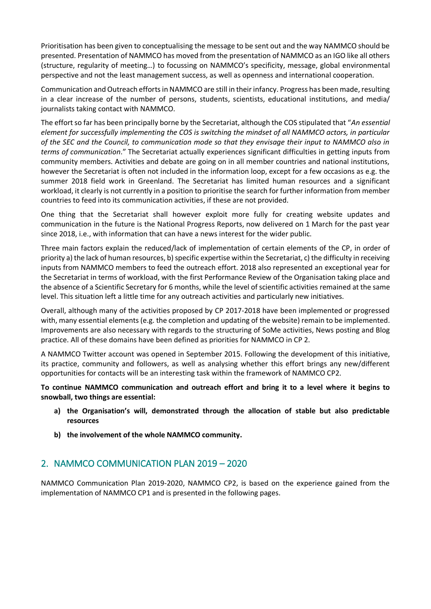Prioritisation has been given to conceptualising the message to be sent out and the way NAMMCO should be presented. Presentation of NAMMCO has moved from the presentation of NAMMCO as an IGO like all others (structure, regularity of meeting…) to focussing on NAMMCO's specificity, message, global environmental perspective and not the least management success, as well as openness and international cooperation.

Communication and Outreach efforts in NAMMCO are still in their infancy. Progress has been made, resulting in a clear increase of the number of persons, students, scientists, educational institutions, and media/ journalists taking contact with NAMMCO.

The effort so far has been principally borne by the Secretariat, although the COS stipulated that "*An essential element for successfully implementing the COS is switching the mindset of all NAMMCO actors, in particular of the SEC and the Council, to communication mode so that they envisage their input to NAMMCO also in terms of communication*." The Secretariat actually experiences significant difficulties in getting inputs from community members. Activities and debate are going on in all member countries and national institutions, however the Secretariat is often not included in the information loop, except for a few occasions as e.g. the summer 2018 field work in Greenland. The Secretariat has limited human resources and a significant workload, it clearly is not currently in a position to prioritise the search for further information from member countries to feed into its communication activities, if these are not provided.

One thing that the Secretariat shall however exploit more fully for creating website updates and communication in the future is the National Progress Reports, now delivered on 1 March for the past year since 2018, i.e., with information that can have a news interest for the wider public.

Three main factors explain the reduced/lack of implementation of certain elements of the CP, in order of priority a) the lack of human resources, b) specific expertise within the Secretariat, c) the difficulty in receiving inputs from NAMMCO members to feed the outreach effort. 2018 also represented an exceptional year for the Secretariat in terms of workload, with the first Performance Review of the Organisation taking place and the absence of a Scientific Secretary for 6 months, while the level of scientific activities remained at the same level. This situation left a little time for any outreach activities and particularly new initiatives.

Overall, although many of the activities proposed by CP 2017-2018 have been implemented or progressed with, many essential elements (e.g. the completion and updating of the website) remain to be implemented. Improvements are also necessary with regards to the structuring of SoMe activities, News posting and Blog practice. All of these domains have been defined as priorities for NAMMCO in CP 2.

A NAMMCO Twitter account was opened in September 2015. Following the development of this initiative, its practice, community and followers, as well as analysing whether this effort brings any new/different opportunities for contacts will be an interesting task within the framework of NAMMCO CP2.

**To continue NAMMCO communication and outreach effort and bring it to a level where it begins to snowball, two things are essential:**

- **a) the Organisation's will, demonstrated through the allocation of stable but also predictable resources**
- **b) the involvement of the whole NAMMCO community.**

# 2. NAMMCO COMMUNICATION PLAN 2019 – 2020

NAMMCO Communication Plan 2019-2020, NAMMCO CP2, is based on the experience gained from the implementation of NAMMCO CP1 and is presented in the following pages.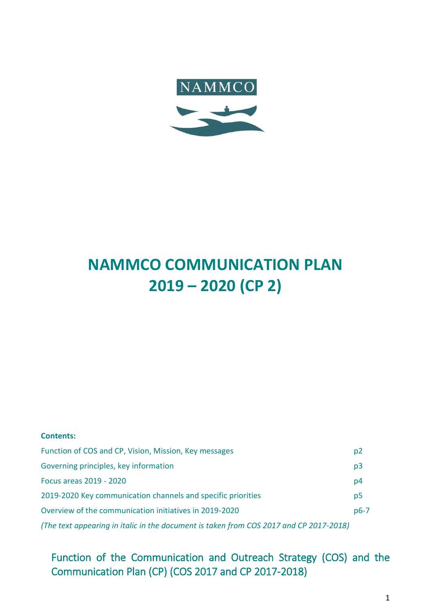

# **NAMMCO COMMUNICATION PLAN 2019 – 2020 (CP 2)**

| <b>Contents:</b>                                                                       |                |
|----------------------------------------------------------------------------------------|----------------|
| Function of COS and CP, Vision, Mission, Key messages                                  | p2             |
| Governing principles, key information                                                  | p <sub>3</sub> |
| Focus areas 2019 - 2020                                                                | p4             |
| 2019-2020 Key communication channels and specific priorities                           | p <sub>5</sub> |
| Overview of the communication initiatives in 2019-2020                                 | $p6-7$         |
| (The text appearing in italic in the document is taken from COS 2017 and CP 2017-2018) |                |

Function of the Communication and Outreach Strategy (COS) and the Communication Plan (CP) (COS 2017 and CP 2017-2018)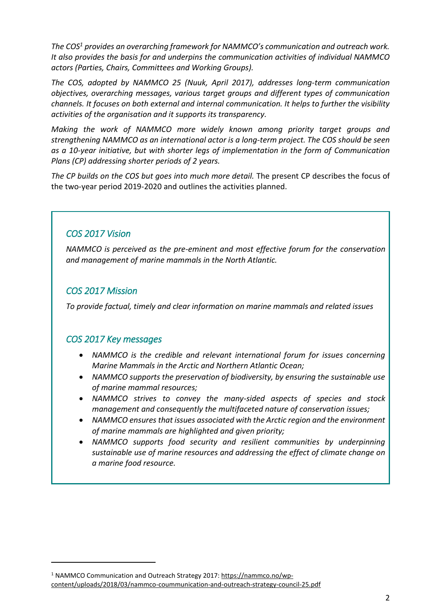*The COS<sup>1</sup> provides an overarching framework for NAMMCO's communication and outreach work. It also provides the basis for and underpins the communication activities of individual NAMMCO actors (Parties, Chairs, Committees and Working Groups).* 

*The COS, adopted by NAMMCO 25 (Nuuk, April 2017), addresses long-term communication objectives, overarching messages, various target groups and different types of communication channels. It focuses on both external and internal communication. It helps to further the visibility activities of the organisation and it supports its transparency.* 

*Making the work of NAMMCO more widely known among priority target groups and strengthening NAMMCO as an international actor is a long-term project. The COS should be seen as a 10-year initiative, but with shorter legs of implementation in the form of Communication Plans (CP) addressing shorter periods of 2 years.* 

*The CP builds on the COS but goes into much more detail.* The present CP describes the focus of the two-year period 2019-2020 and outlines the activities planned.

# *COS 2017 Vision*

*NAMMCO is perceived as the pre-eminent and most effective forum for the conservation and management of marine mammals in the North Atlantic.*

# *COS 2017 Mission*

**.** 

*To provide factual, timely and clear information on marine mammals and related issues*

# *COS 2017 Key messages*

- *NAMMCO is the credible and relevant international forum for issues concerning Marine Mammals in the Arctic and Northern Atlantic Ocean;*
- *NAMMCO supports the preservation of biodiversity, by ensuring the sustainable use of marine mammal resources;*
- *NAMMCO strives to convey the many-sided aspects of species and stock management and consequently the multifaceted nature of conservation issues;*
- *NAMMCO ensures that issues associated with the Arctic region and the environment of marine mammals are highlighted and given priority;*
- *NAMMCO supports food security and resilient communities by underpinning sustainable use of marine resources and addressing the effect of climate change on a marine food resource.*

<sup>1</sup> NAMMCO Communication and Outreach Strategy 2017: [https://nammco.no/wp](https://nammco.no/wp-content/uploads/2018/03/nammco-coummunication-and-outreach-strategy-council-25.pdf)[content/uploads/2018/03/nammco-coummunication-and-outreach-strategy-council-25.pdf](https://nammco.no/wp-content/uploads/2018/03/nammco-coummunication-and-outreach-strategy-council-25.pdf)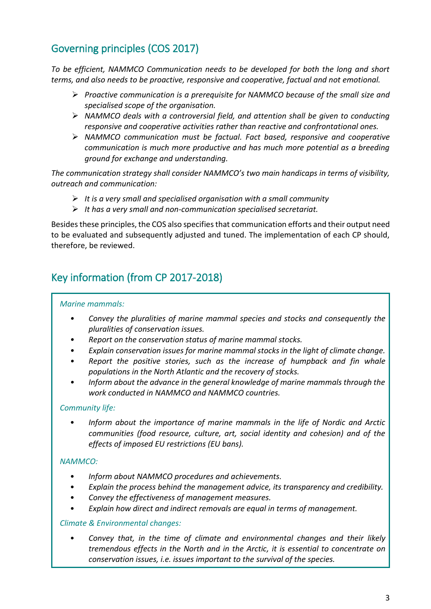# Governing principles (COS 2017)

*To be efficient, NAMMCO Communication needs to be developed for both the long and short terms, and also needs to be proactive, responsive and cooperative, factual and not emotional.* 

- ➢ *Proactive communication is a prerequisite for NAMMCO because of the small size and specialised scope of the organisation.*
- ➢ *NAMMCO deals with a controversial field, and attention shall be given to conducting responsive and cooperative activities rather than reactive and confrontational ones.*
- ➢ *NAMMCO communication must be factual. Fact based, responsive and cooperative communication is much more productive and has much more potential as a breeding ground for exchange and understanding.*

*The communication strategy shall consider NAMMCO's two main handicaps in terms of visibility, outreach and communication:* 

- ➢ *It is a very small and specialised organisation with a small community*
- ➢ *It has a very small and non-communication specialised secretariat.*

Besides these principles, the COS also specifies that communication efforts and their output need to be evaluated and subsequently adjusted and tuned. The implementation of each CP should, therefore, be reviewed.

# Key information (from CP 2017-2018)

#### *Marine mammals:*

- *• Convey the pluralities of marine mammal species and stocks and consequently the pluralities of conservation issues.*
- *• Report on the conservation status of marine mammal stocks.*
- *• Explain conservation issues for marine mammal stocks in the light of climate change.*
- *• Report the positive stories, such as the increase of humpback and fin whale populations in the North Atlantic and the recovery of stocks.*
- *• Inform about the advance in the general knowledge of marine mammals through the work conducted in NAMMCO and NAMMCO countries.*

# *Community life:*

• *Inform about the importance of marine mammals in the life of Nordic and Arctic communities (food resource, culture, art, social identity and cohesion) and of the effects of imposed EU restrictions (EU bans).* 

# *NAMMCO:*

- *Inform about NAMMCO procedures and achievements.*
- *Explain the process behind the management advice, its transparency and credibility.*
- *Convey the effectiveness of management measures.*
- *Explain how direct and indirect removals are equal in terms of management.*

#### *Climate & Environmental changes:*

• *Convey that, in the time of climate and environmental changes and their likely tremendous effects in the North and in the Arctic, it is essential to concentrate on conservation issues, i.e. issues important to the survival of the species.*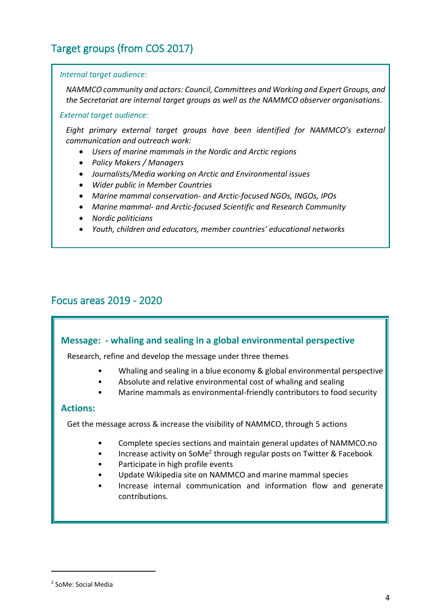# Target groups (from COS 2017)

#### *Internal target audience:*

*NAMMCO community and actors: Council, Committees and Working and Expert Groups, and the Secretariat are internal target groups as well as the NAMMCO observer organisations.*

#### *External target audience:*

*Eight primary external target groups have been identified for NAMMCO's external communication and outreach work:*

- *Users of marine mammals in the Nordic and Arctic regions*
- *Policy Makers / Managers*
- *Journalists/Media working on Arctic and Environmental issues*
- *Wider public in Member Countries*
- *Marine mammal conservation- and Arctic-focused NGOs, INGOs, IPOs*
- *Marine mammal- and Arctic-focused Scientific and Research Community*
- *Nordic politicians*
- *Youth, children and educators, member countries' educational networks*

# Focus areas 2019 - 2020

# **Message: - whaling and sealing in a global environmental perspective**

Research, refine and develop the message under three themes

- Whaling and sealing in a blue economy & global environmental perspective
- Absolute and relative environmental cost of whaling and sealing
- Marine mammals as environmental-friendly contributors to food security

# **Actions:**

Get the message across & increase the visibility of NAMMCO, through 5 actions

- Complete species sections and maintain general updates of NAMMCO.no
- Increase activity on SoMe<sup>2</sup> through regular posts on Twitter & Facebook
- Participate in high profile events
- Update Wikipedia site on NAMMCO and marine mammal species
- Increase internal communication and information flow and generate contributions.

**.** 

<sup>2</sup> SoMe: Social Media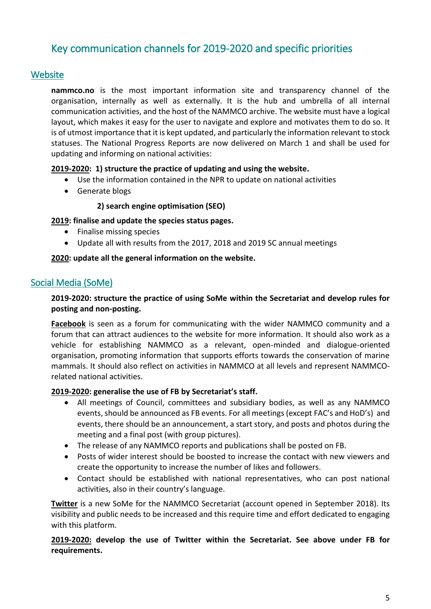# Key communication channels for 2019-2020 and specific priorities

# **Website**

**nammco.no** is the most important information site and transparency channel of the organisation, internally as well as externally. It is the hub and umbrella of all internal communication activities, and the host of the NAMMCO archive. The website must have a logical layout, which makes it easy for the user to navigate and explore and motivates them to do so. It is of utmost importance that it is kept updated, and particularly the information relevant to stock statuses. The National Progress Reports are now delivered on March 1 and shall be used for updating and informing on national activities:

# **2019-2020: 1) structure the practice of updating and using the website.**

- Use the information contained in the NPR to update on national activities
- Generate blogs

### **2) search engine optimisation (SEO)**

### **2019: finalise and update the species status pages.**

- Finalise missing species
- Update all with results from the 2017, 2018 and 2019 SC annual meetings

#### **2020: update all the general information on the website.**

# Social Media (SoMe)

# **2019-2020: structure the practice of using SoMe within the Secretariat and develop rules for posting and non-posting.**

**Facebook** is seen as a forum for communicating with the wider NAMMCO community and a forum that can attract audiences to the website for more information. It should also work as a vehicle for establishing NAMMCO as a relevant, open-minded and dialogue-oriented organisation, promoting information that supports efforts towards the conservation of marine mammals. It should also reflect on activities in NAMMCO at all levels and represent NAMMCOrelated national activities.

#### **2019-2020: generalise the use of FB by Secretariat's staff.**

- All meetings of Council, committees and subsidiary bodies, as well as any NAMMCO events, should be announced as FB events. For all meetings (except FAC's and HoD's) and events, there should be an announcement, a start story, and posts and photos during the meeting and a final post (with group pictures).
- The release of any NAMMCO reports and publications shall be posted on FB.
- Posts of wider interest should be boosted to increase the contact with new viewers and create the opportunity to increase the number of likes and followers.
- Contact should be established with national representatives, who can post national activities, also in their country's language.

**Twitter** is a new SoMe for the NAMMCO Secretariat (account opened in September 2018). Its visibility and public needs to be increased and this require time and effort dedicated to engaging with this platform.

### **2019-2020: develop the use of Twitter within the Secretariat. See above under FB for requirements.**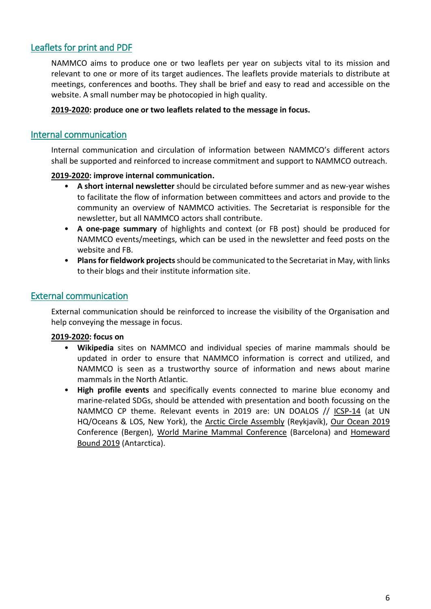# Leaflets for print and PDF

NAMMCO aims to produce one or two leaflets per year on subjects vital to its mission and relevant to one or more of its target audiences. The leaflets provide materials to distribute at meetings, conferences and booths. They shall be brief and easy to read and accessible on the website. A small number may be photocopied in high quality.

### **2019-2020: produce one or two leaflets related to the message in focus.**

# Internal communication

Internal communication and circulation of information between NAMMCO's different actors shall be supported and reinforced to increase commitment and support to NAMMCO outreach.

# **2019-2020: improve internal communication.**

- **A short internal newsletter** should be circulated before summer and as new-year wishes to facilitate the flow of information between committees and actors and provide to the community an overview of NAMMCO activities. The Secretariat is responsible for the newsletter, but all NAMMCO actors shall contribute.
- **A one-page summary** of highlights and context (or FB post) should be produced for NAMMCO events/meetings, which can be used in the newsletter and feed posts on the website and FB.
- **Plansfor fieldwork projects**should be communicated to the Secretariat in May, with links to their blogs and their institute information site.

# External communication

External communication should be reinforced to increase the visibility of the Organisation and help conveying the message in focus.

#### **2019-2020: focus on**

- **Wikipedia** sites on NAMMCO and individual species of marine mammals should be updated in order to ensure that NAMMCO information is correct and utilized, and NAMMCO is seen as a trustworthy source of information and news about marine mammals in the North Atlantic.
- **High profile events** and specifically events connected to marine blue economy and marine-related SDGs, should be attended with presentation and booth focussing on the NAMMCO CP theme. Relevant events in 2019 are: UN DOALOS // [ICSP-14](http://www.un.org/depts/los/convention_agreements/fish_stocks_agreement_states_parties.htm) (at UN HQ/Oceans & LOS, New York), the [Arctic Circle Assembly](http://www.arcticcircle.org/assemblies/future) (Reykjavík), [Our Ocean 2019](https://ourocean2019.no/) Conference (Bergen), [World Marine Mammal Conference](https://www.wmmconference.org/) (Barcelona) and [Homeward](https://homewardboundprojects.com.au/home)  [Bound 2019](https://homewardboundprojects.com.au/home) (Antarctica).